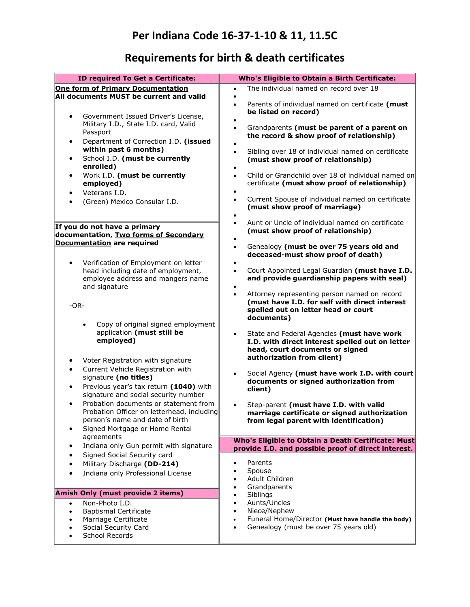## **Requirements for birth & death certificates**

| ID required To Get a Certificate:                                                                                                                                                                                        | Who's Eligible to Obtain a Birth Certificate:                                                                                                                                                                |
|--------------------------------------------------------------------------------------------------------------------------------------------------------------------------------------------------------------------------|--------------------------------------------------------------------------------------------------------------------------------------------------------------------------------------------------------------|
| <b>One form of Primary Documentation</b><br>All documents MUST be current and valid                                                                                                                                      | The individual named on record over 18<br>$\bullet$                                                                                                                                                          |
| Government Issued Driver's License,<br>$\bullet$                                                                                                                                                                         | Parents of individual named on certificate (must<br>$\bullet$<br>be listed on record)                                                                                                                        |
| Military I.D., State I.D. card, Valid<br>Passport<br>Department of Correction I.D. (issued<br>$\bullet$<br>within past 6 months)<br>School I.D. (must be currently<br>$\bullet$                                          | Grandparents (must be parent of a parent on<br>$\bullet$<br>the record & show proof of relationship)<br>Sibling over 18 of individual named on certificate<br>$\bullet$<br>(must show proof of relationship) |
| enrolled)<br>Work I.D. (must be currently<br>$\bullet$                                                                                                                                                                   | Child or Grandchild over 18 of individual named on<br>$\bullet$                                                                                                                                              |
| employed)<br>Veterans I.D.<br>$\bullet$<br>(Green) Mexico Consular I.D.<br>$\bullet$                                                                                                                                     | certificate (must show proof of relationship)<br>Current Spouse of individual named on certificate<br>$\bullet$<br>(must show proof of marriage)                                                             |
| If you do not have a primary<br>documentation, Two forms of Secondary                                                                                                                                                    | Aunt or Uncle of individual named on certificate<br>$\bullet$<br>(must show proof of relationship)                                                                                                           |
| <b>Documentation are required</b>                                                                                                                                                                                        | Genealogy (must be over 75 years old and<br>$\bullet$<br>deceased-must show proof of death)                                                                                                                  |
| Verification of Employment on letter<br>head including date of employment,<br>employee address and mangers name<br>and signature                                                                                         | Court Appointed Legal Guardian (must have I.D.<br>$\bullet$<br>and provide guardianship papers with seal)                                                                                                    |
| $-OR-$                                                                                                                                                                                                                   | Attorney representing person named on record<br>$\bullet$<br>(must have I.D. for self with direct interest<br>spelled out on letter head or court<br>documents)                                              |
| Copy of original signed employment<br>application (must still be<br>employed)                                                                                                                                            | State and Federal Agencies (must have work<br>$\bullet$<br>I.D. with direct interest spelled out on letter<br>head, court documents or signed<br>authorization from client)                                  |
| Voter Registration with signature<br>$\bullet$<br>Current Vehicle Registration with<br>$\bullet$<br>signature (no titles)<br>Previous year's tax return (1040) with<br>$\bullet$<br>signature and social security number | Social Agency (must have work I.D. with court<br>$\bullet$<br>documents or signed authorization from<br>client)                                                                                              |
| Probation documents or statement from<br>$\bullet$<br>Probation Officer on letterhead, including<br>person's name and date of birth<br>Signed Mortgage or Home Rental                                                    | Step-parent (must have I.D. with valid<br>$\bullet$<br>marriage certificate or signed authorization<br>from legal parent with identification)                                                                |
| agreements<br>Indiana only Gun permit with signature<br>$\bullet$                                                                                                                                                        | Who's Eligible to Obtain a Death Certificate: Must<br>provide I.D. and possible proof of direct interest.                                                                                                    |
| Signed Social Security card<br>Military Discharge (DD-214)<br>$\bullet$<br>Indiana only Professional License<br>$\bullet$                                                                                                | Parents<br>٠<br>Spouse<br>Adult Children<br>Grandparents                                                                                                                                                     |
| Amish Only (must provide 2 items)                                                                                                                                                                                        | Siblings                                                                                                                                                                                                     |
| Non-Photo I.D.<br>$\bullet$<br><b>Baptismal Certificate</b><br>$\bullet$<br>Marriage Certificate<br>Social Security Card<br>School Records                                                                               | Aunts/Uncles<br>٠<br>Niece/Nephew<br>Funeral Home/Director (Must have handle the body)<br>Genealogy (must be over 75 years old)<br>$\bullet$                                                                 |